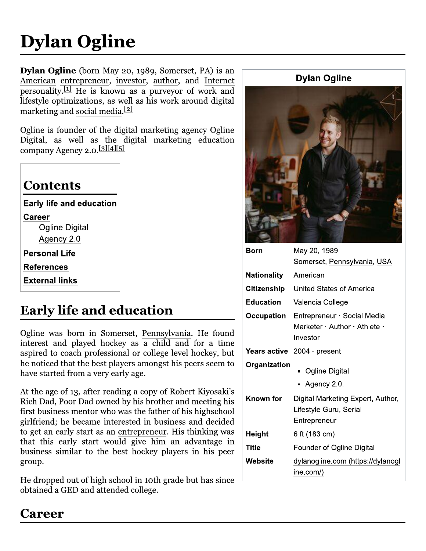# **Dylan Ogline**

Dylan Ogline (born May 20, 1989, Somerset, PA) is an American entrepreneur, investor, author, and Internet  $\frac{1}{\text{personality}}$  II He is known as a purveyor of work and lifestyle optimizations, as well as his work around digital marketing and social media.<sup>[2]</sup>

Ogline is founder of the digital marketing agency Ogline Digital, as well as the digital marketing education company Agency 2.0.[3][4][5]

| Contents                 |  |
|--------------------------|--|
| Early life and education |  |
| Career                   |  |
| <b>Ogline Digital</b>    |  |
| Agency 2.0               |  |
| Personal Life            |  |
| References               |  |
| External links           |  |
|                          |  |

# **Early life and education**

Ogline was born in Somerset, Pennsylvania. He found interest and played hockey as a child and for a time aspired to coach professional or college level hockey, but he noticed that the best players amongst his peers seem to have started from a very early age.

At the age of 13, after reading a copy of Robert Kiyosaki's Rich Dad, Poor Dad owned by his brother and meeting his first business mentor who was the father of his highschool girlfriend; he became interested in business and decided to get an early start as an entrepreneur. His thinking was that this early start would give him an advantage in business similar to the best hockey players in his peer group.

He dropped out of high school in 10th grade but has since obtained a GED and attended college.



| Born               | May 20, 1989                                                                  |
|--------------------|-------------------------------------------------------------------------------|
|                    | Somerset, Pennsylvania, USA                                                   |
| <b>Nationality</b> | American                                                                      |
|                    | <b>Citizenship</b> United States of America                                   |
| <b>Education</b>   | Valencia College                                                              |
|                    | Occupation Entrepreneur · Social Media<br>Marketer Author Athlete<br>Investor |
|                    | <b>Years active</b> 2004 - present                                            |
| Organization       | Ogline Digital<br>Agency 2.0.                                                 |
| Known for          | Digital Marketing Expert, Author,<br>Lifestyle Guru, Serial<br>Entrepreneur   |
| Height             | 6 ft (183 cm)                                                                 |
| Title              | Founder of Ogline Digital                                                     |
| Website            | dylanogline.com (https://dylanogl<br>ine.com/)                                |

# Career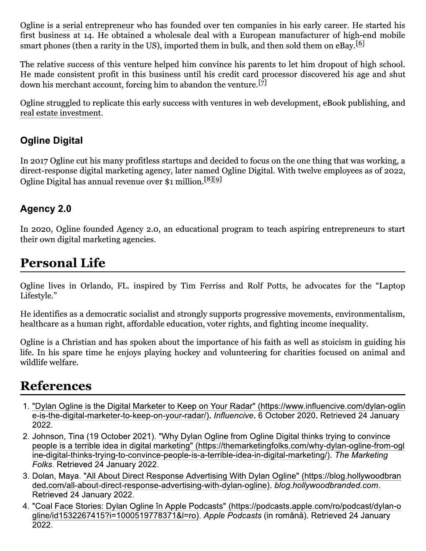Ogline is a serial entrepreneur who has founded over ten companies in his early career. He started his first business at 14. He obtained a wholesale deal with a European manufacturer of high-end mobile smart phones (then a rarity in the US), imported them in bulk, and then sold them on  $e$ Bay.  $[6]$ 

The relative success of this venture helped him convince his parents to let him dropout of high school. He made consistent profit in this business until his credit card processor discovered his age and shut down his merchant account, forcing him to abandon the venture.<sup>[7]</sup>

Ogline struggled to replicate this early success with ventures in web development, eBook publishing, and real estate investment.

#### **Ogline Digital**

In 2017 Ogline cut his many profitless startups and decided to focus on the one thing that was working, a direct-response digital marketing agency, later named Ogline Digital. With twelve employees as of 2022, Ogline Digital has annual revenue over \$1 million.<sup>[8][9]</sup>

#### **Agency 2.0**

In 2020, Ogline founded Agency 2.0, an educational program to teach aspiring entrepreneurs to start their own digital marketing agencies.

# **Personal Life**

Ogline lives in Orlando, FL. inspired by Tim Ferriss and Rolf Potts, he advocates for the "Laptop" Lifestyle."

He identifies as a democratic socialist and strongly supports progressive movements, environmentalism, healthcare as a human right, affordable education, voter rights, and fighting income inequality.

Ogline is a Christian and has spoken about the importance of his faith as well as stoicism in guiding his life. In his spare time he enjoys playing hockey and volunteering for charities focused on animal and wildlife welfare.

### **References**

- 1. "Dylan Ogline is the Digital Marketer to Keep on Your Radar" (https://www.influencive.com/dylan-oglin e-is-the-digital-marketer-to-keep-on-your-radar/). Influencive. 6 October 2020. Retrieved 24 January 2022.
- 2. Johnson, Tina (19 October 2021). "Why Dylan Ogline from Ogline Digital thinks trying to convince people is a terrible idea in digital marketing" (https://themarketingfolks.com/why-dylan-ogline-from-ogl ine-digital-thinks-trying-to-convince-people-is-a-terrible-idea-in-digital-marketing/). The Marketing Folks. Retrieved 24 January 2022.
- 3. Dolan, Maya. "All About Direct Response Advertising With Dylan Ogline" (https://blog.hollywoodbran ded.com/all-about-direct-response-advertising-with-dylan-ogline). blog.hollywoodbranded.com. Retrieved 24 January 2022.
- 4. "Coal Face Stories: Dylan Ogline în Apple Podcasts" (https://podcasts.apple.com/ro/podcast/dylan-o gline/id1532267415?i=1000519778371&l=ro). Apple Podcasts (in română). Retrieved 24 January 2022.